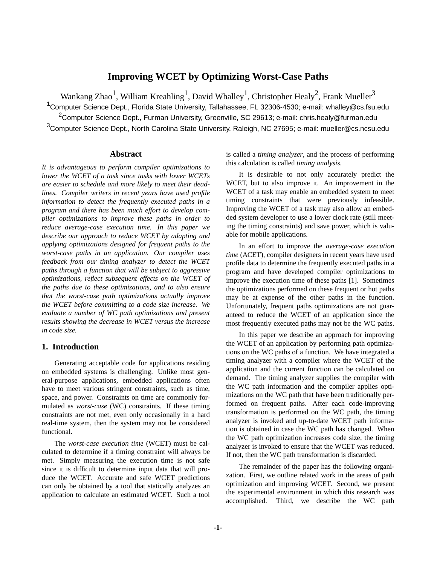# **Improving WCET by Optimizing Worst-Case Paths**

Wankang Zhao<sup>1</sup>, William Kreahling<sup>1</sup>, David Whalley<sup>1</sup>, Christopher Healy<sup>2</sup>, Frank Mueller<sup>3</sup>

<sup>1</sup>Computer Science Dept., Florida State University, Tallahassee, FL 32306-4530; e-mail: whalley@cs.fsu.edu <sup>2</sup>Computer Science Dept., Furman University, Greenville, SC 29613; e-mail: chris.healy@furman.edu <sup>3</sup>Computer Science Dept., North Carolina State University, Raleigh, NC 27695; e-mail: mueller@cs.ncsu.edu

# **Abstract**

*It is advantageous to perform compiler optimizations to lower the WCET of a task since tasks with lower WCETs are easier to schedule and more likely to meet their deadlines. Compiler writers in recent years have used profile information to detect the frequently executed paths in a program and there has been much effort to develop compiler optimizations to improve these paths in order to reduce average-case execution time. In this paper we describe our approach to reduce WCET by adapting and applying optimizations designed for frequent paths to the worst-case paths in an application. Our compiler uses feedback from our timing analyzer to detect the WCET paths through a function that will be subject to aggressive optimizations, reflect subsequent effects on the WCET of the paths due to these optimizations, and to also ensure that the worst-case path optimizations actually improve the WCET before committing to a code size increase. We evaluate a number of WC path optimizations and present results showing the decrease in WCET versus the increase in code size.*

## **1. Introduction**

Generating acceptable code for applications residing on embedded systems is challenging. Unlike most general-purpose applications, embedded applications often have to meet various stringent constraints, such as time, space, and power. Constraints on time are commonly formulated as *worst-case* (WC) constraints. If these timing constraints are not met, even only occasionally in a hard real-time system, then the system may not be considered functional.

The *worst-case execution time* (WCET) must be calculated to determine if a timing constraint will always be met. Simply measuring the execution time is not safe since it is difficult to determine input data that will produce the WCET. Accurate and safe WCET predictions can only be obtained by a tool that statically analyzes an application to calculate an estimated WCET. Such a tool is called a *timing analyzer*, and the process of performing this calculation is called *timing analysis*.

It is desirable to not only accurately predict the WCET, but to also improve it. An improvement in the WCET of a task may enable an embedded system to meet timing constraints that were previously infeasible. Improving the WCET of a task may also allow an embedded system developer to use a lower clock rate (still meeting the timing constraints) and save power, which is valuable for mobile applications.

In an effort to improve the *average-case execution time* (ACET), compiler designers in recent years have used profile data to determine the frequently executed paths in a program and have developed compiler optimizations to improve the execution time of these paths [1]. Sometimes the optimizations performed on these frequent or hot paths may be at expense of the other paths in the function. Unfortunately, frequent paths optimizations are not guaranteed to reduce the WCET of an application since the most frequently executed paths may not be the WC paths.

In this paper we describe an approach for improving the WCET of an application by performing path optimizations on the WC paths of a function. We have integrated a timing analyzer with a compiler where the WCET of the application and the current function can be calculated on demand. The timing analyzer supplies the compiler with the WC path information and the compiler applies optimizations on the WC path that have been traditionally performed on frequent paths. After each code-improving transformation is performed on the WC path, the timing analyzer is invoked and up-to-date WCET path information is obtained in case the WC path has changed. When the WC path optimization increases code size, the timing analyzer is invoked to ensure that the WCET was reduced. If not, then the WC path transformation is discarded.

The remainder of the paper has the following organization. First, we outline related work in the areas of path optimization and improving WCET. Second, we present the experimental environment in which this research was accomplished. Third, we describe the WC path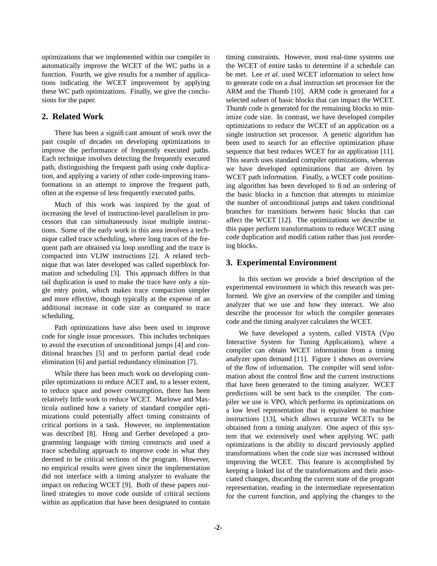optimizations that we implemented within our compiler to automatically improve the WCET of the WC paths in a function. Fourth, we give results for a number of applications indicating the WCET improvement by applying these WC path optimizations. Finally, we give the conclusions for the paper.

## **2. Related Work**

There has been a significant amount of work over the past couple of decades on developing optimizations to improve the performance of frequently executed paths. Each technique involves detecting the frequently executed path, distinguishing the frequent path using code duplication, and applying a variety of other code-improving transformations in an attempt to improve the frequent path, often at the expense of less frequently executed paths.

Much of this work was inspired by the goal of increasing the level of instruction-level parallelism in processors that can simultaneously issue multiple instructions. Some of the early work in this area involves a technique called trace scheduling, where long traces of the frequent path are obtained via loop unrolling and the trace is compacted into VLIW instructions [2]. A related technique that was later developed was called superblock formation and scheduling [3]. This approach differs in that tail duplication is used to make the trace have only a single entry point, which makes trace compaction simpler and more effective, though typically at the expense of an additional increase in code size as compared to trace scheduling.

Path optimizations have also been used to improve code for single issue processors. This includes techniques to avoid the execution of unconditional jumps [4] and conditional branches [5] and to perform partial dead code elimination [6] and partial redundancy elimination [7].

While there has been much work on developing compiler optimizations to reduce ACET and, to a lesser extent, to reduce space and power consumption, there has been relatively little work to reduce WCET. Marlowe and Masticola outlined how a variety of standard compiler optimizations could potentially affect timing constraints of critical portions in a task. However, no implementation was described [8]. Hong and Gerber developed a programming language with timing constructs and used a trace scheduling approach to improve code in what they deemed to be critical sections of the program. However, no empirical results were given since the implementation did not interface with a timing analyzer to evaluate the impact on reducing WCET [9]. Both of these papers outlined strategies to move code outside of critical sections within an application that have been designated to contain timing constraints. However, most real-time systems use the WCET of entire tasks to determine if a schedule can be met. Lee *et al.* used WCET information to select how to generate code on a dual instruction set processor for the ARM and the Thumb [10]. ARM code is generated for a selected subset of basic blocks that can impact the WCET. Thumb code is generated for the remaining blocks to minimize code size. In contrast, we have developed compiler optimizations to reduce the WCET of an application on a single instruction set processor. A genetic algorithm has been used to search for an effective optimization phase sequence that best reduces WCET for an application [11]. This search uses standard compiler optimizations, whereas we have developed optimizations that are driven by WCET path information. Finally, a WCET code positioning algorithm has been developed to find an ordering of the basic blocks in a function that attempts to minimize the number of unconditional jumps and taken conditional branches for transitions between basic blocks that can affect the WCET [12]. The optimizations we describe in this paper perform transformations to reduce WCET using code duplication and modification rather than just reordering blocks.

## **3. Experimental Environment**

In this section we provide a brief description of the experimental environment in which this research was performed. We give an overview of the compiler and timing analyzer that we use and how they interact. We also describe the processor for which the compiler generates code and the timing analyzer calculates the WCET.

We have developed a system, called VISTA (Vpo Interactive System for Tuning Applications), where a compiler can obtain WCET information from a timing analyzer upon demand [11]. Figure 1 shows an overview of the flow of information. The compiler will send information about the control flow and the current instructions that have been generated to the timing analyzer. WCET predictions will be sent back to the compiler. The compiler we use is VPO, which performs its optimizations on a low level representation that is equivalent to machine instructions [13], which allows accurate WCETs to be obtained from a timing analyzer. One aspect of this system that we extensively used when applying WC path optimizations is the ability to discard previously applied transformations when the code size was increased without improving the WCET. This feature is accomplished by keeping a linked list of the transformations and their associated changes, discarding the current state of the program representation, reading in the intermediate representation for the current function, and applying the changes to the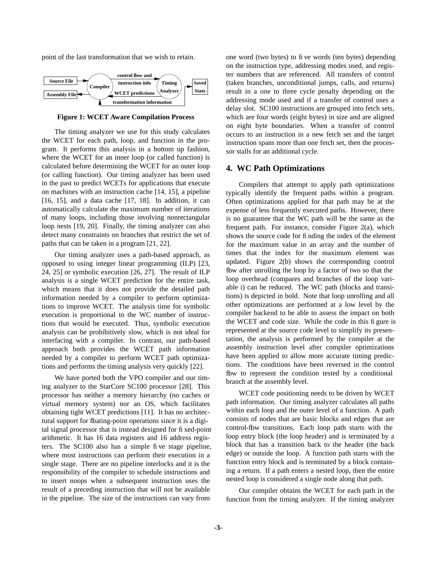point of the last transformation that we wish to retain.



**Figure 1: WCET Aware Compilation Process**

The timing analyzer we use for this study calculates the WCET for each path, loop, and function in the program. It performs this analysis in a bottom up fashion, where the WCET for an inner loop (or called function) is calculated before determining the WCET for an outer loop (or calling function). Our timing analyzer has been used in the past to predict WCETs for applications that execute on machines with an instruction cache [14, 15], a pipeline [16, 15], and a data cache [17, 18]. In addition, it can automatically calculate the maximum number of iterations of many loops, including those involving nonrectangular loop nests [19, 20]. Finally, the timing analyzer can also detect many constraints on branches that restrict the set of paths that can be taken in a program [21, 22].

Our timing analyzer uses a path-based approach, as opposed to using integer linear programming (ILP) [23, 24, 25] or symbolic execution [26, 27]. The result of ILP analysis is a single WCET prediction for the entire task, which means that it does not provide the detailed path information needed by a compiler to perform optimizations to improve WCET. The analysis time for symbolic execution is proportional to the WC number of instructions that would be executed. Thus, symbolic execution analysis can be prohibitively slow, which is not ideal for interfacing with a compiler. In contrast, our path-based approach both provides the WCET path information needed by a compiler to perform WCET path optimizations and performs the timing analysis very quickly [22].

We have ported both the VPO compiler and our timing analyzer to the StarCore SC100 processor [28]. This processor has neither a memory hierarchy (no caches or virtual memory system) nor an OS, which facilitates obtaining tight WCET predictions [11]. It has no architectural support for fbating-point operations since it is a digital signal processor that is instead designed for fixed-point arithmetic. It has 16 data registers and 16 address registers. The SC100 also has a simple five stage pipeline, where most instructions can perform their execution in a single stage. There are no pipeline interlocks and it is the responsibility of the compiler to schedule instructions and to insert noops when a subsequent instruction uses the result of a preceding instruction that will not be available in the pipeline. The size of the instructions can vary from

one word (two bytes) to five words (ten bytes) depending on the instruction type, addressing modes used, and register numbers that are referenced. All transfers of control (taken branches, unconditional jumps, calls, and returns) result in a one to three cycle penalty depending on the addressing mode used and if a transfer of control uses a delay slot. SC100 instructions are grouped into fetch sets, which are four words (eight bytes) in size and are aligned on eight byte boundaries. When a transfer of control occurs to an instruction in a new fetch set and the target instruction spans more than one fetch set, then the processor stalls for an additional cycle.

#### **4. WC Path Optimizations**

Compilers that attempt to apply path optimizations typically identify the frequent paths within a program. Often optimizations applied for that path may be at the expense of less frequently executed paths. However, there is no guarantee that the WC path will be the same as the frequent path. For instance, consider Figure 2(a), which shows the source code for finding the index of the element for the maximum value in an array and the number of times that the index for the maximum element was updated. Figure 2(b) shows the corresponding control flow after unrolling the loop by a factor of two so that the loop overhead (compares and branches of the loop variable i) can be reduced. The WC path (blocks and transitions) is depicted in bold. Note that loop unrolling and all other optimizations are performed at a low level by the compiler backend to be able to assess the impact on both the WCET and code size. While the code in this figure is represented at the source code level to simplify its presentation, the analysis is performed by the compiler at the assembly instruction level after compiler optimizations have been applied to allow more accurate timing predictions. The conditions have been reversed in the control flow to represent the condition tested by a conditional branch at the assembly level.

WCET code positioning needs to be driven by WCET path information. Our timing analyzer calculates all paths within each loop and the outer level of a function. A path consists of nodes that are basic blocks and edges that are control-flow transitions. Each loop path starts with the loop entry block (the loop header) and is terminated by a block that has a transition back to the header (the back edge) or outside the loop. A function path starts with the function entry block and is terminated by a block containing a return. If a path enters a nested loop, then the entire nested loop is considered a single node along that path.

Our compiler obtains the WCET for each path in the function from the timing analyzer. If the timing analyzer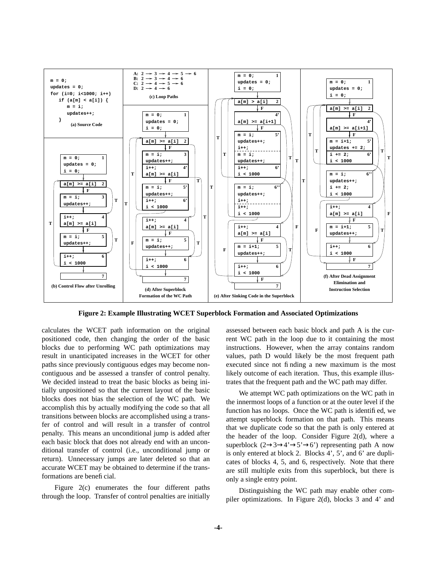

**Figure 2: Example Illustrating WCET Superblock Formation and Associated Optimizations**

calculates the WCET path information on the original positioned code, then changing the order of the basic blocks due to performing WC path optimizations may result in unanticipated increases in the WCET for other paths since previously contiguous edges may become noncontiguous and be assessed a transfer of control penalty. We decided instead to treat the basic blocks as being initially unpositioned so that the current layout of the basic blocks does not bias the selection of the WC path. We accomplish this by actually modifying the code so that all transitions between blocks are accomplished using a transfer of control and will result in a transfer of control penalty. This means an unconditional jump is added after each basic block that does not already end with an unconditional transfer of control (i.e., unconditional jump or return). Unnecessary jumps are later deleted so that an accurate WCET may be obtained to determine if the transformations are beneficial.

Figure 2(c) enumerates the four different paths through the loop. Transfer of control penalties are initially

assessed between each basic block and path A is the current WC path in the loop due to it containing the most instructions. However, when the array contains random values, path D would likely be the most frequent path executed since not finding a new maximum is the most likely outcome of each iteration. Thus, this example illustrates that the frequent path and the WC path may differ.

We attempt WC path optimizations on the WC path in the innermost loops of a function or at the outer level if the function has no loops. Once the WC path is identified, we attempt superblock formation on that path. This means that we duplicate code so that the path is only entered at the header of the loop. Consider Figure 2(d), where a superblock  $(2\rightarrow)3\rightarrow4'\rightarrow5'\rightarrow6'$  representing path A now is only entered at block 2. Blocks 4', 5', and 6' are duplicates of blocks 4, 5, and 6, respectively. Note that there are still multiple exits from this superblock, but there is only a single entry point.

Distinguishing the WC path may enable other compiler optimizations. In Figure 2(d), blocks 3 and 4' and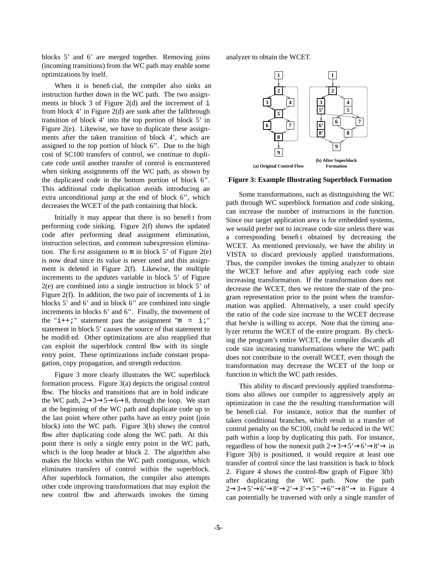blocks 5' and 6' are merged together. Removing joins (incoming transitions) from the WC path may enable some optimizations by itself.

When it is beneficial, the compiler also sinks an instruction further down in the WC path. The two assignments in block 3 of Figure 2(d) and the increment of i from block 4' in Figure 2(d) are sunk after the fallthrough transition of block 4' into the top portion of block 5' in Figure 2(e). Likewise, we have to duplicate these assignments after the taken transition of block 4', which are assigned to the top portion of block 6''. Due to the high cost of SC100 transfers of control, we continue to duplicate code until another transfer of control is encountered when sinking assignments off the WC path, as shown by the duplicated code in the bottom portion of block 6''. This additional code duplication avoids introducing an extra unconditional jump at the end of block 6'', which decreases the WCET of the path containing that block.

Initially it may appear that there is no benefit from performing code sinking. Figure 2(f) shows the updated code after performing dead assignment elimination, instruction selection, and common subexpression elimination. The first assignment to  $m$  in block 5' of Figure 2(e) is now dead since its value is never used and this assignment is deleted in Figure 2(f). Likewise, the multiple increments to the *updates* variable in block 5' of Figure 2(e) are combined into a single instruction in block 5' of Figure 2(f). In addition, the two pair of increments of  $\pm$  in blocks 5' and 6' and in block 6'' are combined into single increments in blocks 6' and 6''. Finally, the movement of the " $i++$ ;" statement past the assignment "m =  $i$ ;" statement in block 5' causes the source of that statement to be modified. Other optimizations are also reapplied that can exploit the superblock control flow with its single entry point. These optimizations include constant propagation, copy propagation, and strength reduction.

Figure 3 more clearly illustrates the WC superblock formation process. Figure 3(a) depicts the original control flow. The blocks and transitions that are in bold indicate the WC path,  $2 \rightarrow 3 \rightarrow 5 \rightarrow 6 \rightarrow 8$ , through the loop. We start at the beginning of the WC path and duplicate code up to the last point where other paths have an entry point (join block) into the WC path. Figure 3(b) shows the control flow after duplicating code along the WC path. At this point there is only a single entry point in the WC path, which is the loop header at block 2. The algorithm also makes the blocks within the WC path contiguous, which eliminates transfers of control within the superblock. After superblock formation, the compiler also attempts other code improving transformations that may exploit the new control fbw and afterwards invokes the timing

analyzer to obtain the WCET.



**Figure 3: Example Illustrating Superblock Formation**

Some transformations, such as distinguishing the WC path through WC superblock formation and code sinking, can increase the number of instructions in the function. Since our target application area is for embedded systems, we would prefer not to increase code size unless there was a corresponding benefit obtained by decreasing the WCET. As mentioned previously, we have the ability in VISTA to discard previously applied transformations. Thus, the compiler invokes the timing analyzer to obtain the WCET before and after applying each code size increasing transformation. If the transformation does not decrease the WCET, then we restore the state of the program representation prior to the point when the transformation was applied. Alternatively, a user could specify the ratio of the code size increase to the WCET decrease that he/she is willing to accept. Note that the timing analyzer returns the WCET of the entire program. By checking the program's entire WCET, the compiler discards all code size increasing transformations where the WC path does not contribute to the overall WCET, even though the transformation may decrease the WCET of the loop or function in which the WC path resides.

This ability to discard previously applied transformations also allows our compiler to aggressively apply an optimization in case the the resulting transformation will be beneficial. For instance, notice that the number of taken conditional branches, which result in a transfer of control penalty on the SC100, could be reduced in the WC path within a loop by duplicating this path. For instance, regardless of how the nonexit path  $2 \rightarrow 3 \rightarrow 5' \rightarrow 6' \rightarrow 8' \rightarrow$  in Figure 3(b) is positioned, it would require at least one transfer of control since the last transition is back to block 2. Figure 4 shows the control-flow graph of Figure 3(b) after duplicating the WC path. Now the path  $2\rightarrow 3\rightarrow 5\rightarrow 6\rightarrow 8\rightarrow 2\rightarrow 3\rightarrow 5\rightarrow 6\rightarrow 8\rightarrow 8\rightarrow 1$  Figure 4 can potentially be traversed with only a single transfer of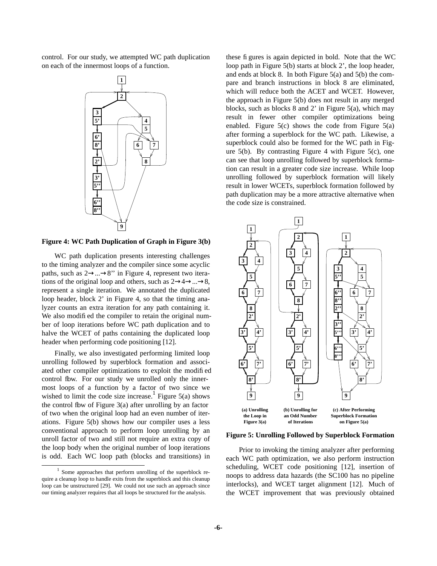control. For our study, we attempted WC path duplication on each of the innermost loops of a function.



**Figure 4: WC Path Duplication of Graph in Figure 3(b)**

WC path duplication presents interesting challenges to the timing analyzer and the compiler since some acyclic paths, such as  $2 \rightarrow ... \rightarrow 8$ " in Figure 4, represent two iterations of the original loop and others, such as  $2\rightarrow4\rightarrow... \rightarrow 8$ , represent a single iteration. We annotated the duplicated loop header, block 2' in Figure 4, so that the timing analyzer counts an extra iteration for any path containing it. We also modified the compiler to retain the original number of loop iterations before WC path duplication and to halve the WCET of paths containing the duplicated loop header when performing code positioning [12].

Finally, we also investigated performing limited loop unrolling followed by superblock formation and associated other compiler optimizations to exploit the modified control fbw. For our study we unrolled only the innermost loops of a function by a factor of two since we wished to limit the code size increase.<sup>1</sup> Figure 5(a) shows the control fbw of Figure  $3(a)$  after unrolling by an factor of two when the original loop had an even number of iterations. Figure 5(b) shows how our compiler uses a less conventional approach to perform loop unrolling by an unroll factor of two and still not require an extra copy of the loop body when the original number of loop iterations is odd. Each WC loop path (blocks and transitions) in

these figures is again depicted in bold. Note that the WC loop path in Figure 5(b) starts at block 2', the loop header, and ends at block 8. In both Figure 5(a) and 5(b) the compare and branch instructions in block 8 are eliminated, which will reduce both the ACET and WCET. However, the approach in Figure 5(b) does not result in any merged blocks, such as blocks 8 and 2' in Figure 5(a), which may result in fewer other compiler optimizations being enabled. Figure  $5(c)$  shows the code from Figure  $5(a)$ after forming a superblock for the WC path. Likewise, a superblock could also be formed for the WC path in Figure  $5(b)$ . By contrasting Figure 4 with Figure  $5(c)$ , one can see that loop unrolling followed by superblock formation can result in a greater code size increase. While loop unrolling followed by superblock formation will likely result in lower WCETs, superblock formation followed by path duplication may be a more attractive alternative when the code size is constrained.



**Figure 5: Unrolling Followed by Superblock Formation**

Prior to invoking the timing analyzer after performing each WC path optimization, we also perform instruction scheduling, WCET code positioning [12], insertion of noops to address data hazards (the SC100 has no pipeline interlocks), and WCET target alignment [12]. Much of the WCET improvement that was previously obtained

<sup>&</sup>lt;sup>1</sup> Some approaches that perform unrolling of the superblock require a cleanup loop to handle exits from the superblock and this cleanup loop can be unstructured [29]. We could not use such an approach since our timing analyzer requires that all loops be structured for the analysis.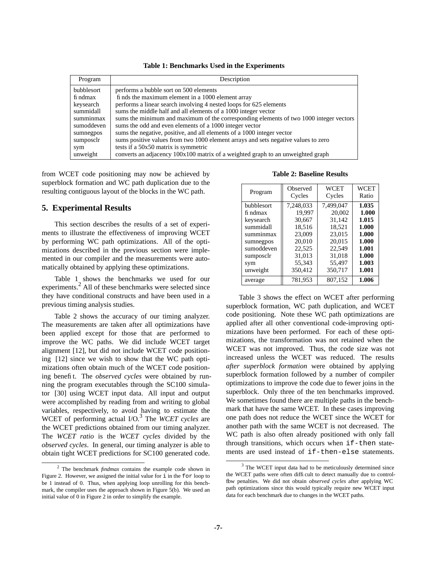| Program    | Description                                                                            |
|------------|----------------------------------------------------------------------------------------|
| bubblesort | performs a bubble sort on 500 elements                                                 |
| fi ndmax   | finds the maximum element in a 1000 element array                                      |
| keysearch  | performs a linear search involving 4 nested loops for 625 elements                     |
| summidall  | sums the middle half and all elements of a 1000 integer vector                         |
| summinmax  | sums the minimum and maximum of the corresponding elements of two 1000 integer vectors |
| sumoddeven | sums the odd and even elements of a 1000 integer vector                                |
| sumnegpos  | sums the negative, positive, and all elements of a 1000 integer vector                 |
| sumposclr  | sums positive values from two 1000 element arrays and sets negative values to zero     |
| sym        | tests if a 50x50 matrix is symmetric                                                   |
| unweight   | converts an adjacency 100x100 matrix of a weighted graph to an unweighted graph        |

from WCET code positioning may now be achieved by superblock formation and WC path duplication due to the resulting contiguous layout of the blocks in the WC path.

# **5. Experimental Results**

This section describes the results of a set of experiments to illustrate the effectiveness of improving WCET by performing WC path optimizations. All of the optimizations described in the previous section were implemented in our compiler and the measurements were automatically obtained by applying these optimizations.

Table  $1$  shows the benchmarks we used for our experiments.<sup>2</sup> All of these benchmarks were selected since they have conditional constructs and have been used in a previous timing analysis studies.

Table 2 shows the accuracy of our timing analyzer. The measurements are taken after all optimizations have been applied except for those that are performed to improve the WC paths. We did include WCET target alignment [12], but did not include WCET code positioning [12] since we wish to show that the WC path optimizations often obtain much of the WCET code positioning benefit. The *observed cycles* were obtained by running the program executables through the SC100 simulator [30] using WCET input data. All input and output were accomplished by reading from and writing to global variables, respectively, to avoid having to estimate the WCET of performing actual I/O.<sup>3</sup> The *WCET cycles* are the WCET predictions obtained from our timing analyzer. The *WCET ratio* is the *WCET cycles* divided by the *observed cycles*. In general, our timing analyzer is able to obtain tight WCET predictions for SC100 generated code.

| Program    | Observed<br>Cycles | <b>WCET</b><br>Cycles | <b>WCET</b><br>Ratio |
|------------|--------------------|-----------------------|----------------------|
| bubblesort | 7,248,033          | 7,499,047             | 1.035                |
| fi ndmax   | 19,997             | 20.002                | 1.000                |
| keysearch  | 30,667             | 31,142                | 1.015                |
| summidall  | 18.516             | 18.521                | 1.000                |
| summinmax  | 23,009             | 23.015                | 1.000                |
| sumnegpos  | 20,010             | 20,015                | 1.000                |
| sumoddeven | 22,525             | 22.549                | 1.001                |
| sumposclr  | 31,013             | 31,018                | 1.000                |
| sym        | 55.343             | 55.497                | 1.003                |
| unweight   | 350,412            | 350,717               | 1.001                |
| average    | 781,953            | 807,152               | 1.006                |

**Table 2: Baseline Results**

Table 3 shows the effect on WCET after performing superblock formation, WC path duplication, and WCET code positioning. Note these WC path optimizations are applied after all other conventional code-improving optimizations have been performed. For each of these optimizations, the transformation was not retained when the WCET was not improved. Thus, the code size was not increased unless the WCET was reduced. The results *after superblock formation* were obtained by applying superblock formation followed by a number of compiler optimizations to improve the code due to fewer joins in the superblock. Only three of the ten benchmarks improved. We sometimes found there are multiple paths in the benchmark that have the same WCET. In these cases improving one path does not reduce the WCET since the WCET for another path with the same WCET is not decreased. The WC path is also often already positioned with only fall through transitions, which occurs when if-then statements are used instead of if-then-else statements.

<sup>2</sup> The benchmark *findmax* contains the example code shown in Figure 2. However, we assigned the initial value for i in the for loop to be 1 instead of 0. Thus, when applying loop unrolling for this benchmark, the compiler uses the approach shown in Figure 5(b). We used an initial value of 0 in Figure 2 in order to simplify the example.

<sup>&</sup>lt;sup>3</sup> The WCET input data had to be meticulously determined since the WCET paths were often difficult to detect manually due to controlflow penalties. We did not obtain *observed cycles* after applying WC path optimizations since this would typically require new WCET input data for each benchmark due to changes in the WCET paths.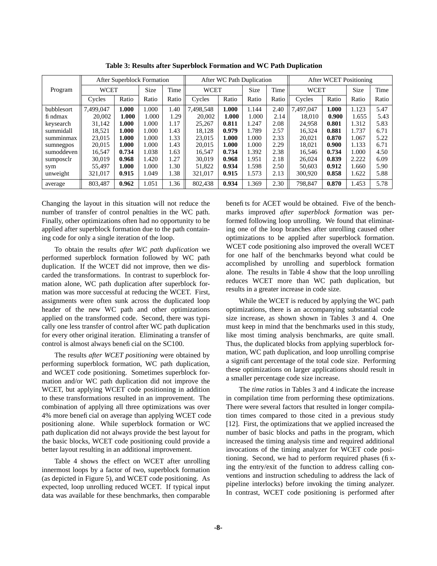|            | <b>After Superblock Formation</b> |       |             |       | After WC Path Duplication |       |             |       | <b>After WCET Positioning</b> |       |             |       |
|------------|-----------------------------------|-------|-------------|-------|---------------------------|-------|-------------|-------|-------------------------------|-------|-------------|-------|
| Program    | <b>WCET</b>                       |       | <b>Size</b> | Time  | <b>WCET</b>               |       | <b>Size</b> | Time  | <b>WCET</b>                   |       | <b>Size</b> | Time  |
|            | Cycles                            | Ratio | Ratio       | Ratio | Cycles                    | Ratio | Ratio       | Ratio | Cycles                        | Ratio | Ratio       | Ratio |
| bubblesort | 7,499,047                         | 1.000 | 1.000       | 1.40  | 7.498.548                 | 1.000 | 1.144       | 2.40  | 7.497.047                     | 1.000 | 1.123       | 5.47  |
| fi ndmax   | 20,002                            | 1.000 | 1.000       | 1.29  | 20,002                    | 1.000 | 1.000       | 2.14  | 18,010                        | 0.900 | 1.655       | 5.43  |
| keysearch  | 31,142                            | 1.000 | 1.000       | 1.17  | 25.267                    | 0.811 | 1.247       | 2.08  | 24.958                        | 0.801 | 1.312       | 5.83  |
| summidall  | 18.521                            | 1.000 | 1.000       | 1.43  | 18.128                    | 0.979 | 1.789       | 2.57  | 16.324                        | 0.881 | 1.737       | 6.71  |
| summinmax  | 23,015                            | 1.000 | 1.000       | 1.33  | 23,015                    | 1.000 | 1.000       | 2.33  | 20,021                        | 0.870 | 1.067       | 5.22  |
| sumnegpos  | 20.015                            | 1.000 | 1.000       | 1.43  | 20.015                    | 1.000 | 1.000       | 2.29  | 18.021                        | 0.900 | 1.133       | 6.71  |
| sumoddeven | 16.547                            | 0.734 | 1.038       | 1.63  | 16.547                    | 0.734 | 1.392       | 2.38  | 16.546                        | 0.734 | 1.000       | 4.50  |
| sumposclr  | 30,019                            | 0.968 | 1.420       | 1.27  | 30,019                    | 0.968 | 1.951       | 2.18  | 26,024                        | 0.839 | 2.222       | 6.09  |
| sym        | 55.497                            | 1.000 | 1.000       | 1.30  | 51,822                    | 0.934 | 1.598       | 2.50  | 50.603                        | 0.912 | 1.660       | 5.90  |
| unweight   | 321.017                           | 0.915 | 1.049       | 1.38  | 321.017                   | 0.915 | 1.573       | 2.13  | 300.920                       | 0.858 | 1.622       | 5.88  |
| average    | 803.487                           | 0.962 | 1.051       | 1.36  | 802.438                   | 0.934 | 1.369       | 2.30  | 798.847                       | 0.870 | 1.453       | 5.78  |

**Table 3: Results after Superblock Formation and WC Path Duplication**

Changing the layout in this situation will not reduce the number of transfer of control penalties in the WC path. Finally, other optimizations often had no opportunity to be applied after superblock formation due to the path containing code for only a single iteration of the loop.

To obtain the results *after WC path duplication* we performed superblock formation followed by WC path duplication. If the WCET did not improve, then we discarded the transformations. In contrast to superblock formation alone, WC path duplication after superblock formation was more successful at reducing the WCET. First, assignments were often sunk across the duplicated loop header of the new WC path and other optimizations applied on the transformed code. Second, there was typically one less transfer of control after WC path duplication for every other original iteration. Eliminating a transfer of control is almost always beneficial on the SC100.

The results *after WCET positioning* were obtained by performing superblock formation, WC path duplication, and WCET code positioning. Sometimes superblock formation and/or WC path duplication did not improve the WCET, but applying WCET code positioning in addition to these transformations resulted in an improvement. The combination of applying all three optimizations was over 4% more beneficial on average than applying WCET code positioning alone. While superblock formation or WC path duplication did not always provide the best layout for the basic blocks, WCET code positioning could provide a better layout resulting in an additional improvement.

Table 4 shows the effect on WCET after unrolling innermost loops by a factor of two, superblock formation (as depicted in Figure 5), and WCET code positioning. As expected, loop unrolling reduced WCET. If typical input data was available for these benchmarks, then comparable benefits for ACET would be obtained. Five of the benchmarks improved *after superblock formation* was performed following loop unrolling. We found that eliminating one of the loop branches after unrolling caused other optimizations to be applied after superblock formation. WCET code positioning also improved the overall WCET for one half of the benchmarks beyond what could be accomplished by unrolling and superblock formation alone. The results in Table 4 show that the loop unrolling reduces WCET more than WC path duplication, but results in a greater increase in code size.

While the WCET is reduced by applying the WC path optimizations, there is an accompanying substantial code size increase, as shown shown in Tables 3 and 4. One must keep in mind that the benchmarks used in this study, like most timing analysis benchmarks, are quite small. Thus, the duplicated blocks from applying superblock formation, WC path duplication, and loop unrolling comprise a significant percentage of the total code size. Performing these optimizations on larger applications should result in a smaller percentage code size increase.

The *time ratio*s in Tables 3 and 4 indicate the increase in compilation time from performing these optimizations. There were several factors that resulted in longer compilation times compared to those cited in a previous study [12]. First, the optimizations that we applied increased the number of basic blocks and paths in the program, which increased the timing analysis time and required additional invocations of the timing analyzer for WCET code positioning. Second, we had to perform required phases (fixing the entry/exit of the function to address calling conventions and instruction scheduling to address the lack of pipeline interlocks) before invoking the timing analyzer. In contrast, WCET code positioning is performed after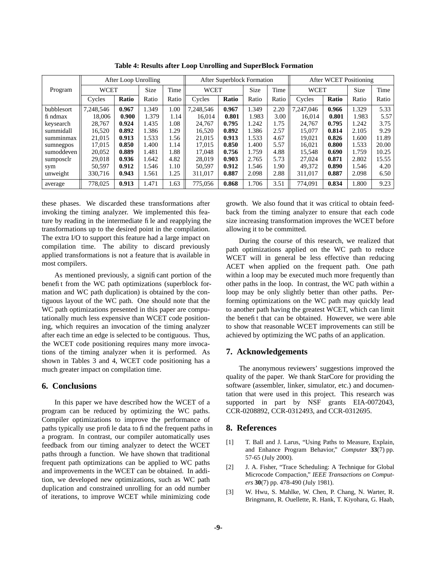|            | After Loop Unrolling |       |             |       | After Superblock Formation |              |             |       | <b>After WCET Positioning</b> |       |       |       |
|------------|----------------------|-------|-------------|-------|----------------------------|--------------|-------------|-------|-------------------------------|-------|-------|-------|
| Program    | <b>WCET</b>          |       | <b>Size</b> | Time  | <b>WCET</b>                |              | <b>Size</b> | Time  | <b>WCET</b>                   |       | Size  | Time  |
|            | Cycles               | Ratio | Ratio       | Ratio | Cycles                     | <b>Ratio</b> | Ratio       | Ratio | Cycles                        | Ratio | Ratio | Ratio |
| bubblesort | 7.248.546            | 0.967 | 1.349       | 1.00  | 7.248.546                  | 0.967        | 1.349       | 2.20  | 7.247.046                     | 0.966 | 1.329 | 5.33  |
| fi ndmax   | 18,006               | 0.900 | 1.379       | 1.14  | 16.014                     | 0.801        | 1.983       | 3.00  | 16.014                        | 0.801 | 1.983 | 5.57  |
| keysearch  | 28,767               | 0.924 | 1.435       | 1.08  | 24.767                     | 0.795        | 1.242       | 1.75  | 24.767                        | 0.795 | 1.242 | 3.75  |
| summidall  | 16,520               | 0.892 | 1.386       | 1.29  | 16.520                     | 0.892        | 1.386       | 2.57  | 15.077                        | 0.814 | 2.105 | 9.29  |
| summinmax  | 21,015               | 0.913 | 1.533       | 1.56  | 21,015                     | 0.913        | 1.533       | 4.67  | 19.021                        | 0.826 | 1.600 | 11.89 |
| sumnegpos  | 17.015               | 0.850 | 1.400       | 1.14  | 17.015                     | 0.850        | 1.400       | 5.57  | 16.021                        | 0.800 | 1.533 | 20.00 |
| sumoddeven | 20.052               | 0.889 | 1.481       | 1.88  | 17.048                     | 0.756        | 1.759       | 4.88  | 15.548                        | 0.690 | 1.759 | 10.25 |
| sumposclr  | 29,018               | 0.936 | 1.642       | 4.82  | 28,019                     | 0.903        | 2.765       | 5.73  | 27,024                        | 0.871 | 2.802 | 15.55 |
| sym        | 50.597               | 0.912 | 1.546       | 1.10  | 50.597                     | 0.912        | 1.546       | 1.90  | 49.372                        | 0.890 | 1.546 | 4.20  |
| unweight   | 330.716              | 0.943 | 1.561       | 1.25  | 311.017                    | 0.887        | 2.098       | 2.88  | 311.017                       | 0.887 | 2.098 | 6.50  |
| average    | 778,025              | 0.913 | 1.471       | 1.63  | 775,056                    | 0.868        | 1.706       | 3.51  | 774.091                       | 0.834 | 1.800 | 9.23  |

**Table 4: Results after Loop Unrolling and SuperBlock Formation**

these phases. We discarded these transformations after invoking the timing analyzer. We implemented this feature by reading in the intermediate file and reapplying the transformations up to the desired point in the compilation. The extra I/O to support this feature had a large impact on compilation time. The ability to discard previously applied transformations is not a feature that is available in most compilers.

As mentioned previously, a significant portion of the benefit from the WC path optimizations (superblock formation and WC path duplication) is obtained by the contiguous layout of the WC path. One should note that the WC path optimizations presented in this paper are computationally much less expensive than WCET code positioning, which requires an invocation of the timing analyzer after each time an edge is selected to be contiguous. Thus, the WCET code positioning requires many more invocations of the timing analyzer when it is performed. As shown in Tables 3 and 4, WCET code positioning has a much greater impact on compilation time.

#### **6. Conclusions**

In this paper we have described how the WCET of a program can be reduced by optimizing the WC paths. Compiler optimizations to improve the performance of paths typically use profile data to find the frequent paths in a program. In contrast, our compiler automatically uses feedback from our timing analyzer to detect the WCET paths through a function. We have shown that traditional frequent path optimizations can be applied to WC paths and improvements in the WCET can be obtained. In addition, we developed new optimizations, such as WC path duplication and constrained unrolling for an odd number of iterations, to improve WCET while minimizing code

growth. We also found that it was critical to obtain feedback from the timing analyzer to ensure that each code size increasing transformation improves the WCET before allowing it to be committed.

During the course of this research, we realized that path optimizations applied on the WC path to reduce WCET will in general be less effective than reducing ACET when applied on the frequent path. One path within a loop may be executed much more frequently than other paths in the loop. In contrast, the WC path within a loop may be only slightly better than other paths. Performing optimizations on the WC path may quickly lead to another path having the greatest WCET, which can limit the benefit that can be obtained. However, we were able to show that reasonable WCET improvements can still be achieved by optimizing the WC paths of an application.

# **7. Acknowledgements**

The anonymous reviewers' suggestions improved the quality of the paper. We thank StarCore for providing the software (assembler, linker, simulator, etc.) and documentation that were used in this project. This research was supported in part by NSF grants EIA-0072043, CCR-0208892, CCR-0312493, and CCR-0312695.

## **8. References**

- [1] T. Ball and J. Larus, "Using Paths to Measure, Explain, and Enhance Program Behavior," *Computer* **33**(7) pp. 57-65 (July 2000).
- [2] J. A. Fisher, "Trace Scheduling: A Technique for Global Microcode Compaction," *IEEE Transactions on Computers* **30**(7) pp. 478-490 (July 1981).
- [3] W. Hwu, S. Mahlke, W. Chen, P. Chang, N. Warter, R. Bringmann, R. Ouellette, R. Hank, T. Kiyohara, G. Haab,